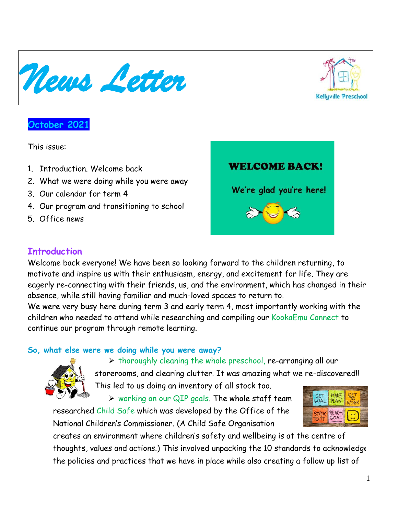**October 2021**

This issue:

- 1. Introduction. Welcome back
- 2. What we were doing while you were away
- 3. Our calendar for term 4
- 4. Our program and transitioning to school
- 5. Office news

#### **Introduction**

Welcome back everyone! We have been so looking forward to the children returning, to motivate and inspire us with their enthusiasm, energy, and excitement for life. They are eagerly re-connecting with their friends, us, and the environment, which has changed in their absence, while still having familiar and much-loved spaces to return to.

We were very busy here during term 3 and early term 4, most importantly working with the children who needed to attend while researching and compiling our KookaEmu Connect to continue our program through remote learning.

### **So, what else were we doing while you were away?**



➢ working on our QIP goals. The whole staff team researched Child Safe which was developed by the Office of the National Children's Commissioner. (A Child Safe Organisation

creates an environment where children's safety and wellbeing is at the centre of thoughts, values and actions.) This involved unpacking the 10 standards to acknowledge the policies and practices that we have in place while also creating a follow up list of









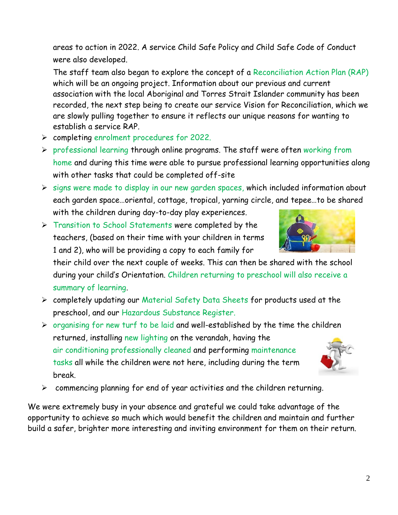areas to action in 2022. A service Child Safe Policy and Child Safe Code of Conduct were also developed.

The staff team also began to explore the concept of a Reconciliation Action Plan (RAP) which will be an ongoing project. Information about our previous and current association with the local Aboriginal and Torres Strait Islander community has been recorded, the next step being to create our service Vision for Reconciliation, which we are slowly pulling together to ensure it reflects our unique reasons for wanting to establish a service RAP.

- ➢ completing enrolment procedures for 2022.
- ➢ professional learning through online programs. The staff were often working from home and during this time were able to pursue professional learning opportunities along with other tasks that could be completed off-site
- ➢ signs were made to display in our new garden spaces, which included information about each garden space…oriental, cottage, tropical, yarning circle, and tepee…to be shared with the children during day-to-day play experiences.
- ➢ Transition to School Statements were completed by the teachers, (based on their time with your children in terms 1 and 2), who will be providing a copy to each family for

their child over the next couple of weeks. This can then be shared with the school during your child's Orientation. Children returning to preschool will also receive a summary of learning.

- ➢ completely updating our Material Safety Data Sheets for products used at the preschool, and our Hazardous Substance Register.
- $\triangleright$  organising for new turf to be laid and well-established by the time the children returned, installing new lighting on the verandah, having the air conditioning professionally cleaned and performing maintenance tasks all while the children were not here, including during the term break.
- ➢ commencing planning for end of year activities and the children returning.

We were extremely busy in your absence and grateful we could take advantage of the opportunity to achieve so much which would benefit the children and maintain and further build a safer, brighter more interesting and inviting environment for them on their return.



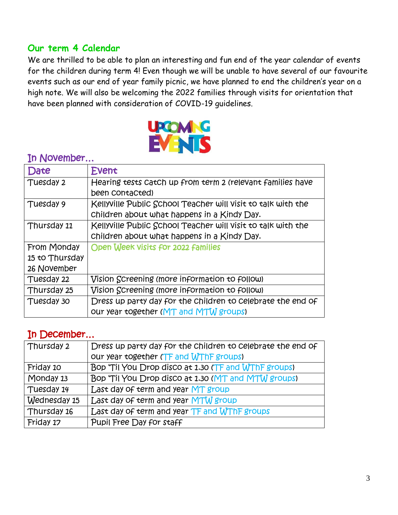### **Our term 4 Calendar**

We are thrilled to be able to plan an interesting and fun end of the year calendar of events for the children during term 4! Even though we will be unable to have several of our favourite events such as our end of year family picnic, we have planned to end the children's year on a high note. We will also be welcoming the 2022 families through visits for orientation that have been planned with consideration of COVID-19 guidelines.



#### Date Event Tuesday 2 Hearing tests catch up from term 2 (relevant families have been contacted) Tuesday 9 Kellyville Public School Teacher will visit to talk with the children about what happens in a Kindy Day. Thursday 11 Kellyville Public School Teacher will visit to talk with the children about what happens in a Kindy Day. From Monday 15 to Thursday 26 November Open Week visits for 2022 families Tuesday 22 Vision Screening (more information to follow) Thursday 25 Vision Screening (more information to follow) Tuesday 30 Dress up party day for the children to celebrate the end of our year together (MT and MTW groups)

### In December…

| Thursday 2   | Dress up party day for the children to celebrate the end of |
|--------------|-------------------------------------------------------------|
|              | our year together (TF and WThF groups)                      |
| Friday 10    | Bop 'Til You Drop disco at 1.30 (TF and WThF groups)        |
| Monday 13    | Bop 'Til You Drop disco at 1.30 (MT and MTW groups)         |
| Tuesday 14   | Last day of term and year MT group                          |
| Wednesday 15 | Last day of term and year MTM group                         |
| Thursday 16  | Last day of term and year TF and WThF groups                |
| Friday 17    | Pupil Free Day for staff                                    |

## In November…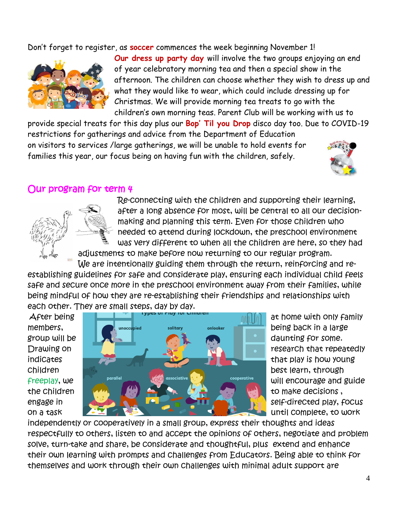Don't forget to register, as **soccer** commences the week beginning November 1!



**Our dress up party day** will involve the two groups enjoying an end of year celebratory morning tea and then a special show in the afternoon. The children can choose whether they wish to dress up and what they would like to wear, which could include dressing up for Christmas. We will provide morning tea treats to go with the children's own morning teas. Parent Club will be working with us to

provide special treats for this day plus our **Bop' Til you Drop** disco day too. Due to COVID-19 restrictions for gatherings and advice from the Department of Education on visitors to services /large gatherings, we will be unable to hold events for families this year, our focus being on having fun with the children, safely.



# Our program for term 4



Re-connecting with the children and supporting their learning, after a long absence for most, will be central to all our decisionmaking and planning this term. Even for those children who needed to attend during lockdown, the preschool environment was very different to when all the children are here, so they had

adjustments to make before now returning to our regular program. We are intentionally guiding them through the return, reinforcing and re-

establishing guidelines for safe and considerate play, ensuring each individual child feels safe and secure once more in the preschool environment away from their families, while being mindful of how they are re-establishing their friendships and relationships with each other. They are small steps, day by day.



independently or cooperatively in a small group, express their thoughts and ideas respectfully to others, listen to and accept the opinions of others, negotiate and problem solve, turn-take and share, be considerate and thoughtful, plus extend and enhance their own learning with prompts and challenges from Educators. Being able to think for themselves and work through their own challenges with minimal adult support are